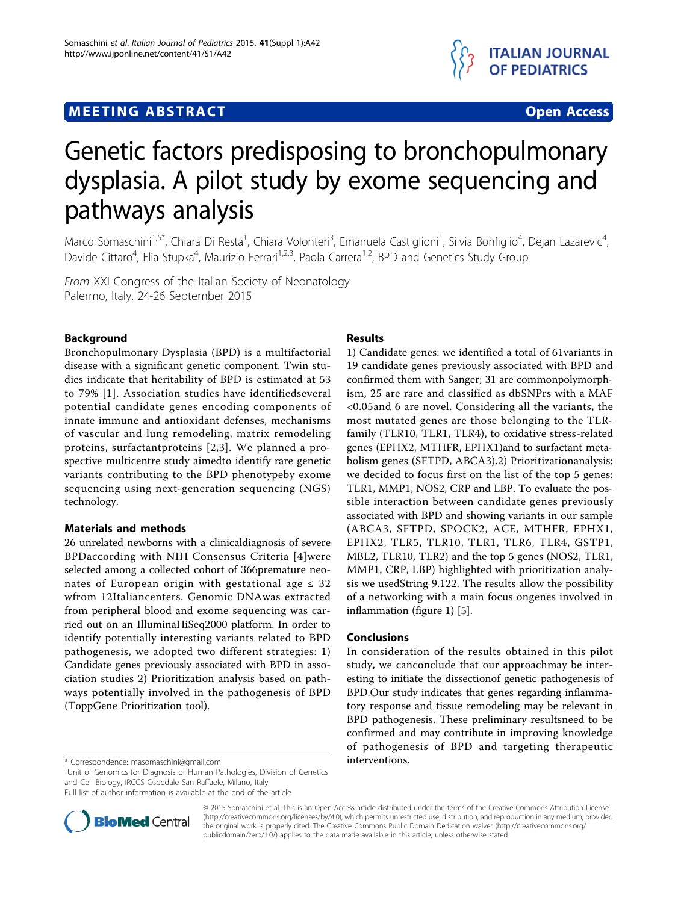## **MEETING ABSTRACT ACCESS**



# Genetic factors predisposing to bronchopulmonary dysplasia. A pilot study by exome sequencing and pathways analysis

Marco Somaschini<sup>1,5\*</sup>, Chiara Di Resta<sup>1</sup>, Chiara Volonteri<sup>3</sup>, Emanuela Castiglioni<sup>1</sup>, Silvia Bonfiglio<sup>4</sup>, Dejan Lazarevic<sup>4</sup> , Davide Cittaro<sup>4</sup>, Elia Stupka<sup>4</sup>, Maurizio Ferrari<sup>1,2,3</sup>, Paola Carrera<sup>1,2</sup>, BPD and Genetics Study Group

From XXI Congress of the Italian Society of Neonatology Palermo, Italy. 24-26 September 2015

### Background

Bronchopulmonary Dysplasia (BPD) is a multifactorial disease with a significant genetic component. Twin studies indicate that heritability of BPD is estimated at 53 to 79% [[1\]](#page-1-0). Association studies have identifiedseveral potential candidate genes encoding components of innate immune and antioxidant defenses, mechanisms of vascular and lung remodeling, matrix remodeling proteins, surfactantproteins [[2](#page-1-0),[3\]](#page-1-0). We planned a prospective multicentre study aimedto identify rare genetic variants contributing to the BPD phenotypeby exome sequencing using next-generation sequencing (NGS) technology.

#### Materials and methods

26 unrelated newborns with a clinicaldiagnosis of severe BPDaccording with NIH Consensus Criteria [[4\]](#page-1-0)were selected among a collected cohort of 366premature neonates of European origin with gestational age  $\leq 32$ wfrom 12Italiancenters. Genomic DNAwas extracted from peripheral blood and exome sequencing was carried out on an IlluminaHiSeq2000 platform. In order to identify potentially interesting variants related to BPD pathogenesis, we adopted two different strategies: 1) Candidate genes previously associated with BPD in association studies 2) Prioritization analysis based on pathways potentially involved in the pathogenesis of BPD (ToppGene Prioritization tool).

<sup>1</sup>Unit of Genomics for Diagnosis of Human Pathologies, Division of Genetics and Cell Biology, IRCCS Ospedale San Raffaele, Milano, Italy

Full list of author information is available at the end of the article



#### Results

1) Candidate genes: we identified a total of 61variants in 19 candidate genes previously associated with BPD and confirmed them with Sanger; 31 are commonpolymorphism, 25 are rare and classified as dbSNPrs with a MAF <0.05and 6 are novel. Considering all the variants, the most mutated genes are those belonging to the TLRfamily (TLR10, TLR1, TLR4), to oxidative stress-related genes (EPHX2, MTHFR, EPHX1)and to surfactant metabolism genes (SFTPD, ABCA3).2) Prioritizationanalysis: we decided to focus first on the list of the top 5 genes: TLR1, MMP1, NOS2, CRP and LBP. To evaluate the possible interaction between candidate genes previously associated with BPD and showing variants in our sample (ABCA3, SFTPD, SPOCK2, ACE, MTHFR, EPHX1, EPHX2, TLR5, TLR10, TLR1, TLR6, TLR4, GSTP1, MBL2, TLR10, TLR2) and the top 5 genes (NOS2, TLR1, MMP1, CRP, LBP) highlighted with prioritization analysis we usedString 9.122. The results allow the possibility of a networking with a main focus ongenes involved in inflammation (figure [1](#page-1-0)) [\[5](#page-1-0)].

#### Conclusions

In consideration of the results obtained in this pilot study, we canconclude that our approachmay be interesting to initiate the dissectionof genetic pathogenesis of BPD.Our study indicates that genes regarding inflammatory response and tissue remodeling may be relevant in BPD pathogenesis. These preliminary resultsneed to be confirmed and may contribute in improving knowledge of pathogenesis of BPD and targeting therapeutic

© 2015 Somaschini et al. This is an Open Access article distributed under the terms of the Creative Commons Attribution License [\(http://creativecommons.org/licenses/by/4.0](http://creativecommons.org/licenses/by/4.0)), which permits unrestricted use, distribution, and reproduction in any medium, provided the original work is properly cited. The Creative Commons Public Domain Dedication waiver ([http://creativecommons.org/](http://creativecommons.org/publicdomain/zero/1.0/) [publicdomain/zero/1.0/](http://creativecommons.org/publicdomain/zero/1.0/)) applies to the data made available in this article, unless otherwise stated

<sup>\*</sup> Correspondence: [masomaschini@gmail.com](mailto:masomaschini@gmail.com) interventions.